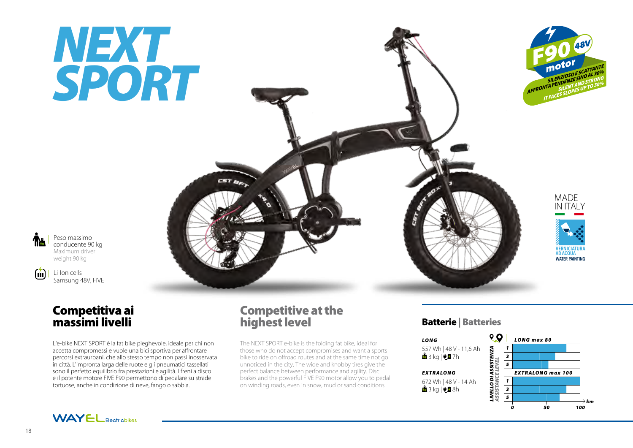# *NEXT SPORT*



MADE IN ITALY

*IERNICIATII* AD ACQUA WATER PAINTING



 $\left( \frac{1}{2} \right)$ 

conducente 90 kg Maximum driver weight 90 kg

Peso massimo

Li-Ion cells Samsung 48V, FIVE

## Competitiva ai massimi livelli

L'e-bike NEXT SPORT è la fat bike pieghevole, ideale per chi non accetta compromessi e vuole una bici sportiva per affrontare percorsi extraurbani, che allo stesso tempo non passi inosservata in città. L'impronta larga delle ruote e gli pneumatici tassellati sono il perfetto equilibrio fra prestazioni e agilità. I freni a disco e il potente motore FIVE F90 permettono di pedalare su strade tortuose, anche in condizione di neve, fango o sabbia.

## Competitive at the highest level

CST BR

The NEXT SPORT e-bike is the folding fat bike, ideal for those who do not accept compromises and want a sports bike to ride on offroad routes and at the same time not go unnoticed in the city. The wide and knobby tires give the perfect balance between performance and agility. Disc brakes and the powerful FIVE F90 motor allow you to pedal on winding roads, even in snow, mud or sand conditions.

### Batterie | Batteries